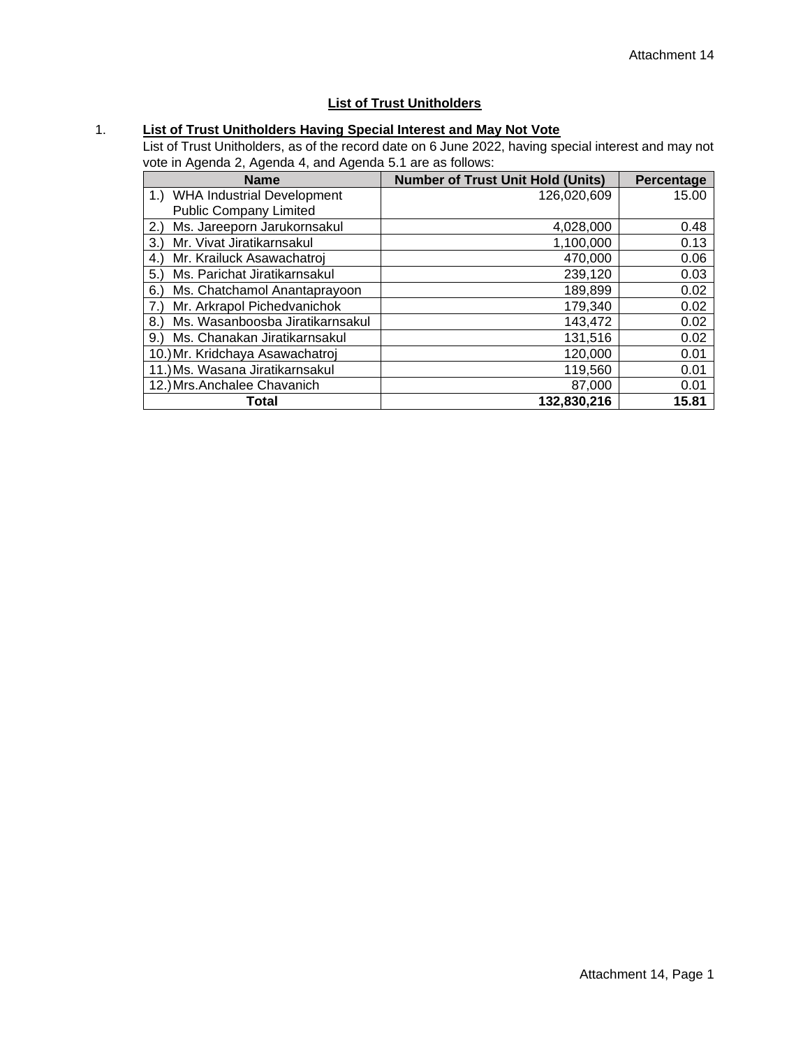## **List of Trust Unitholders**

## 1. **List of Trust Unitholders Having Special Interest and May Not Vote**

List of Trust Unitholders, as of the record date on 6 June 2022, having special interest and may not vote in Agenda 2, Agenda 4, and Agenda 5.1 are as follows:

| <b>Name</b>                             | <b>Number of Trust Unit Hold (Units)</b> | Percentage |
|-----------------------------------------|------------------------------------------|------------|
| <b>WHA Industrial Development</b><br>1. | 126,020,609                              | 15.00      |
| <b>Public Company Limited</b>           |                                          |            |
| Ms. Jareeporn Jarukornsakul<br>(2.1)    | 4,028,000                                | 0.48       |
| Mr. Vivat Jiratikarnsakul<br>3.         | 1,100,000                                | 0.13       |
| Mr. Krailuck Asawachatroj<br>4.)        | 470,000                                  | 0.06       |
| Ms. Parichat Jiratikarnsakul<br>5.      | 239,120                                  | 0.03       |
| Ms. Chatchamol Anantaprayoon<br>6.      | 189,899                                  | 0.02       |
| Mr. Arkrapol Pichedvanichok<br>7.)      | 179,340                                  | 0.02       |
| Ms. Wasanboosba Jiratikarnsakul<br>8.   | 143,472                                  | 0.02       |
| Ms. Chanakan Jiratikarnsakul<br>9.      | 131,516                                  | 0.02       |
| 10.) Mr. Kridchaya Asawachatroj         | 120,000                                  | 0.01       |
| 11.) Ms. Wasana Jiratikarnsakul         | 119,560                                  | 0.01       |
| 12.) Mrs. Anchalee Chavanich            | 87,000                                   | 0.01       |
| Total                                   | 132,830,216                              | 15.81      |